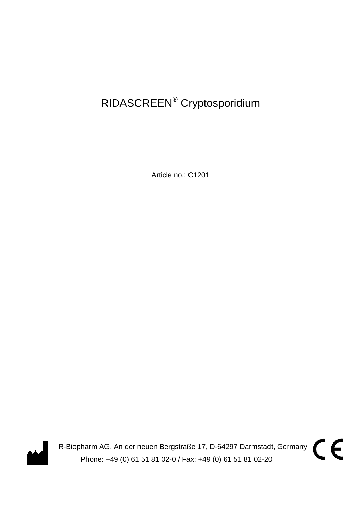# RIDASCREEN® Cryptosporidium

Article no.: C1201



R-Biopharm AG, An der neuen Bergstraße 17, D-64297 Darmstadt, Germany CE Phone: +49 (0) 61 51 81 02-0 / Fax: +49 (0) 61 51 81 02-20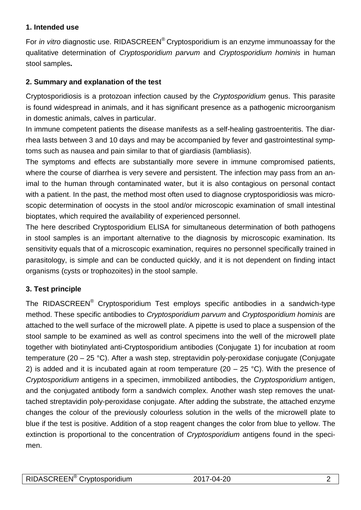## **1. Intended use**

For *in vitro* diagnostic use. RIDASCREEN® Cryptosporidium is an enzyme immunoassay for the qualitative determination of *Cryptosporidium parvum* and *Cryptosporidium hominis* in human stool samples**.**

# **2. Summary and explanation of the test**

Cryptosporidiosis is a protozoan infection caused by the *Cryptosporidium* genus. This parasite is found widespread in animals, and it has significant presence as a pathogenic microorganism in domestic animals, calves in particular.

In immune competent patients the disease manifests as a self-healing gastroenteritis. The diarrhea lasts between 3 and 10 days and may be accompanied by fever and gastrointestinal symptoms such as nausea and pain similar to that of giardiasis (lambliasis).

The symptoms and effects are substantially more severe in immune compromised patients, where the course of diarrhea is very severe and persistent. The infection may pass from an animal to the human through contaminated water, but it is also contagious on personal contact with a patient. In the past, the method most often used to diagnose cryptosporidiosis was microscopic determination of oocysts in the stool and/or microscopic examination of small intestinal bioptates, which required the availability of experienced personnel.

The here described Cryptosporidium ELISA for simultaneous determination of both pathogens in stool samples is an important alternative to the diagnosis by microscopic examination. Its sensitivity equals that of a microscopic examination, requires no personnel specifically trained in parasitology, is simple and can be conducted quickly, and it is not dependent on finding intact organisms (cysts or trophozoites) in the stool sample.

# **3. Test principle**

The RIDASCREEN® Cryptosporidium Test employs specific antibodies in a sandwich-type method. These specific antibodies to *Cryptosporidium parvum* and *Cryptosporidium hominis* are attached to the well surface of the microwell plate. A pipette is used to place a suspension of the stool sample to be examined as well as control specimens into the well of the microwell plate together with biotinylated anti-Cryptosporidium antibodies (Conjugate 1) for incubation at room temperature (20 – 25 °C). After a wash step, streptavidin poly-peroxidase conjugate (Conjugate 2) is added and it is incubated again at room temperature (20 – 25 °C). With the presence of *Cryptosporidium* antigens in a specimen, immobilized antibodies, the *Cryptosporidium* antigen, and the conjugated antibody form a sandwich complex. Another wash step removes the unattached streptavidin poly-peroxidase conjugate. After adding the substrate, the attached enzyme changes the colour of the previously colourless solution in the wells of the microwell plate to blue if the test is positive. Addition of a stop reagent changes the color from blue to yellow. The extinction is proportional to the concentration of *Cryptosporidium* antigens found in the specimen.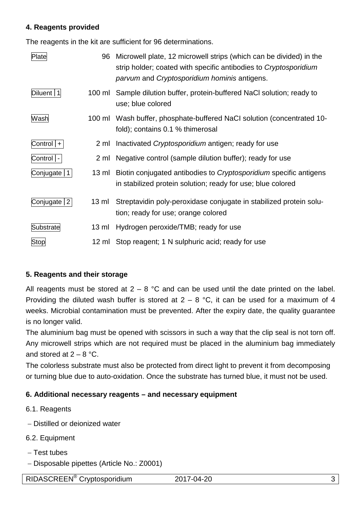#### **4. Reagents provided**

The reagents in the kit are sufficient for 96 determinations.

| Plate           | 96     | Microwell plate, 12 microwell strips (which can be divided) in the<br>strip holder; coated with specific antibodies to Cryptosporidium<br>parvum and Cryptosporidium hominis antigens. |
|-----------------|--------|----------------------------------------------------------------------------------------------------------------------------------------------------------------------------------------|
| Diluent   1     | 100 ml | Sample dilution buffer, protein-buffered NaCl solution; ready to<br>use; blue colored                                                                                                  |
| Wash            |        | 100 ml Wash buffer, phosphate-buffered NaCI solution (concentrated 10-<br>fold); contains 0.1 % thimerosal                                                                             |
| $Control   +  $ |        | 2 ml Inactivated Cryptosporidium antigen; ready for use                                                                                                                                |
| Control  -      | 2 ml   | Negative control (sample dilution buffer); ready for use                                                                                                                               |
| Conjugate   1   |        | 13 ml Biotin conjugated antibodies to Cryptosporidium specific antigens<br>in stabilized protein solution; ready for use; blue colored                                                 |
| Conjugate $ 2 $ | 13 ml  | Streptavidin poly-peroxidase conjugate in stabilized protein solu-<br>tion; ready for use; orange colored                                                                              |
| Substrate       | 13 ml  | Hydrogen peroxide/TMB; ready for use                                                                                                                                                   |
| Stop            |        | 12 ml Stop reagent; 1 N sulphuric acid; ready for use                                                                                                                                  |

# **5. Reagents and their storage**

All reagents must be stored at  $2 - 8$  °C and can be used until the date printed on the label. Providing the diluted wash buffer is stored at  $2 - 8$  °C, it can be used for a maximum of 4 weeks. Microbial contamination must be prevented. After the expiry date, the quality guarantee is no longer valid.

The aluminium bag must be opened with scissors in such a way that the clip seal is not torn off. Any microwell strips which are not required must be placed in the aluminium bag immediately and stored at  $2 - 8$  °C.

The colorless substrate must also be protected from direct light to prevent it from decomposing or turning blue due to auto-oxidation. Once the substrate has turned blue, it must not be used.

#### **6. Additional necessary reagents – and necessary equipment**

- 6.1. Reagents
- − Distilled or deionized water
- 6.2. Equipment
- − Test tubes
- − Disposable pipettes (Article No.: Z0001)

RIDASCREEN<sup>®</sup> Cryptosporidium 2017-04-20 3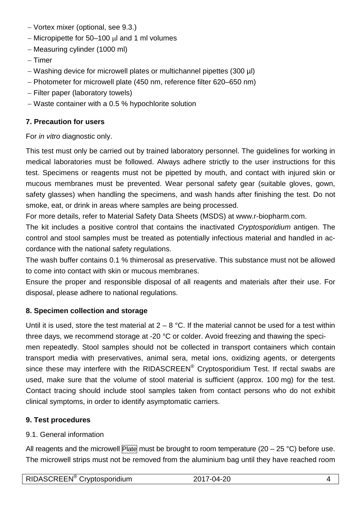- − Vortex mixer (optional, see 9.3.)
- − Micropipette for 50–100 µl and 1 ml volumes
- − Measuring cylinder (1000 ml)
- − Timer
- − Washing device for microwell plates or multichannel pipettes (300 µl)
- − Photometer for microwell plate (450 nm, reference filter 620–650 nm)
- − Filter paper (laboratory towels)
- − Waste container with a 0.5 % hypochlorite solution

#### **7. Precaution for users**

For *in vitro* diagnostic only.

This test must only be carried out by trained laboratory personnel. The guidelines for working in medical laboratories must be followed. Always adhere strictly to the user instructions for this test. Specimens or reagents must not be pipetted by mouth, and contact with injured skin or mucous membranes must be prevented. Wear personal safety gear (suitable gloves, gown, safety glasses) when handling the specimens, and wash hands after finishing the test. Do not smoke, eat, or drink in areas where samples are being processed.

For more details, refer to Material Safety Data Sheets (MSDS) at www.r-biopharm.com.

The kit includes a positive control that contains the inactivated *Cryptosporidium* antigen. The control and stool samples must be treated as potentially infectious material and handled in accordance with the national safety regulations.

The wash buffer contains 0.1 % thimerosal as preservative. This substance must not be allowed to come into contact with skin or mucous membranes.

Ensure the proper and responsible disposal of all reagents and materials after their use. For disposal, please adhere to national regulations.

#### **8. Specimen collection and storage**

Until it is used, store the test material at  $2 - 8$  °C. If the material cannot be used for a test within three days, we recommend storage at -20 °C or colder. Avoid freezing and thawing the speci-

men repeatedly. Stool samples should not be collected in transport containers which contain transport media with preservatives, animal sera, metal ions, oxidizing agents, or detergents since these may interfere with the RIDASCREEN<sup>®</sup> Cryptosporidium Test. If rectal swabs are used, make sure that the volume of stool material is sufficient (approx. 100 mg) for the test. Contact tracing should include stool samples taken from contact persons who do not exhibit clinical symptoms, in order to identify asymptomatic carriers.

# **9. Test procedures**

#### 9.1. General information

All reagents and the microwell Plate must be brought to room temperature (20 – 25 °C) before use. The microwell strips must not be removed from the aluminium bag until they have reached room

| RIDASCREEN <sup>®</sup> Cryptosporidium | 2017-04-20 |  |
|-----------------------------------------|------------|--|
|-----------------------------------------|------------|--|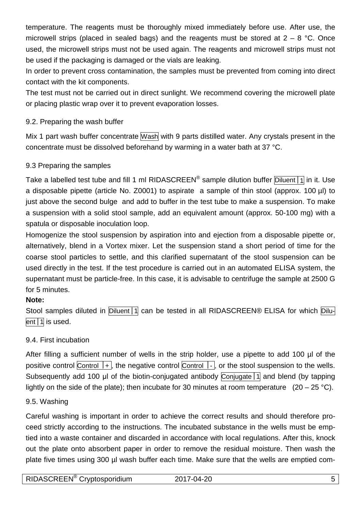temperature. The reagents must be thoroughly mixed immediately before use. After use, the microwell strips (placed in sealed bags) and the reagents must be stored at  $2 - 8$  °C. Once used, the microwell strips must not be used again. The reagents and microwell strips must not be used if the packaging is damaged or the vials are leaking.

In order to prevent cross contamination, the samples must be prevented from coming into direct contact with the kit components.

The test must not be carried out in direct sunlight. We recommend covering the microwell plate or placing plastic wrap over it to prevent evaporation losses.

## 9.2. Preparing the wash buffer

Mix 1 part wash buffer concentrate Wash with 9 parts distilled water. Any crystals present in the concentrate must be dissolved beforehand by warming in a water bath at 37 °C.

#### 9.3 Preparing the samples

Take a labelled test tube and fill 1 ml RIDASCREEN<sup>®</sup> sample dilution buffer **Diluent** 1 in it. Use a disposable pipette (article No. Z0001) to aspirate a sample of thin stool (approx. 100 µl) to just above the second bulge and add to buffer in the test tube to make a suspension. To make a suspension with a solid stool sample, add an equivalent amount (approx. 50-100 mg) with a spatula or disposable inoculation loop.

Homogenize the stool suspension by aspiration into and ejection from a disposable pipette or, alternatively, blend in a Vortex mixer. Let the suspension stand a short period of time for the coarse stool particles to settle, and this clarified supernatant of the stool suspension can be used directly in the test. If the test procedure is carried out in an automated ELISA system, the supernatant must be particle-free. In this case, it is advisable to centrifuge the sample at 2500 G for 5 minutes.

# **Note:**

Stool samples diluted in Diluent 1 can be tested in all RIDASCREEN® ELISA for which Dilu $ent$  1 is used.

#### 9.4. First incubation

After filling a sufficient number of wells in the strip holder, use a pipette to add 100 µl of the positive control Control  $|+|$ , the negative control Control  $| \cdot |$ , or the stool suspension to the wells. Subsequently add 100 μl of the biotin-conjugated antibody Conjugate  $\boxed{1}$  and blend (by tapping lightly on the side of the plate); then incubate for 30 minutes at room temperature  $(20 - 25 \degree C)$ .

#### 9.5. Washing

Careful washing is important in order to achieve the correct results and should therefore proceed strictly according to the instructions. The incubated substance in the wells must be emptied into a waste container and discarded in accordance with local regulations. After this, knock out the plate onto absorbent paper in order to remove the residual moisture. Then wash the plate five times using 300 µl wash buffer each time. Make sure that the wells are emptied com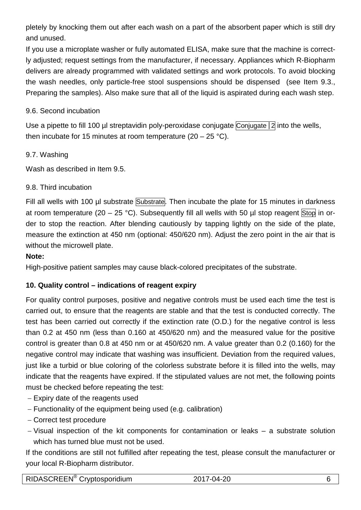pletely by knocking them out after each wash on a part of the absorbent paper which is still dry and unused.

If you use a microplate washer or fully automated ELISA, make sure that the machine is correctly adjusted; request settings from the manufacturer, if necessary. Appliances which R-Biopharm delivers are already programmed with validated settings and work protocols. To avoid blocking the wash needles, only particle-free stool suspensions should be dispensed (see Item 9.3., Preparing the samples). Also make sure that all of the liquid is aspirated during each wash step.

## 9.6. Second incubation

Use a pipette to fill 100 µl streptavidin poly-peroxidase conjugate  $\overline{C}$ onjugate  $\overline{2}$  into the wells, then incubate for 15 minutes at room temperature  $(20 - 25 \degree C)$ .

#### 9.7. Washing

Wash as described in Item 9.5.

#### 9.8. Third incubation

Fill all wells with 100 µl substrate Substrate. Then incubate the plate for 15 minutes in darkness at room temperature (20 – 25 °C). Subsequently fill all wells with 50  $\mu$ l stop reagent Stop in order to stop the reaction. After blending cautiously by tapping lightly on the side of the plate, measure the extinction at 450 nm (optional: 450/620 nm). Adjust the zero point in the air that is without the microwell plate.

#### **Note:**

High-positive patient samples may cause black-colored precipitates of the substrate.

# **10. Quality control – indications of reagent expiry**

For quality control purposes, positive and negative controls must be used each time the test is carried out, to ensure that the reagents are stable and that the test is conducted correctly. The test has been carried out correctly if the extinction rate (O.D.) for the negative control is less than 0.2 at 450 nm (less than 0.160 at 450/620 nm) and the measured value for the positive control is greater than 0.8 at 450 nm or at 450/620 nm. A value greater than 0.2 (0.160) for the negative control may indicate that washing was insufficient. Deviation from the required values, just like a turbid or blue coloring of the colorless substrate before it is filled into the wells, may indicate that the reagents have expired. If the stipulated values are not met, the following points must be checked before repeating the test:

- − Expiry date of the reagents used
- − Functionality of the equipment being used (e.g. calibration)
- − Correct test procedure
- − Visual inspection of the kit components for contamination or leaks a substrate solution which has turned blue must not be used.

If the conditions are still not fulfilled after repeating the test, please consult the manufacturer or your local R-Biopharm distributor.

RIDASCREEN<sup>®</sup> Cryptosporidium 2017-04-20 6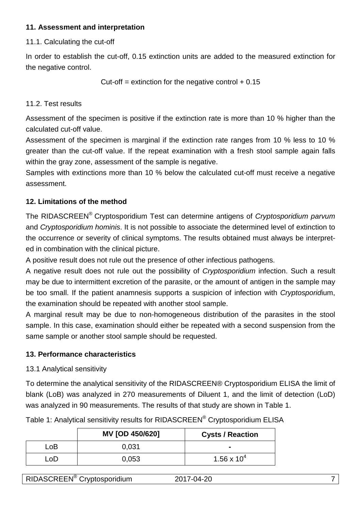#### **11. Assessment and interpretation**

#### 11.1. Calculating the cut-off

In order to establish the cut-off, 0.15 extinction units are added to the measured extinction for the negative control.

Cut-off = extinction for the negative control  $+ 0.15$ 

11.2. Test results

Assessment of the specimen is positive if the extinction rate is more than 10 % higher than the calculated cut-off value.

Assessment of the specimen is marginal if the extinction rate ranges from 10 % less to 10 % greater than the cut-off value. If the repeat examination with a fresh stool sample again falls within the gray zone, assessment of the sample is negative.

Samples with extinctions more than 10 % below the calculated cut-off must receive a negative assessment.

#### **12. Limitations of the method**

The RIDASCREEN® Cryptosporidium Test can determine antigens of *Cryptosporidium parvum* and *Cryptosporidium hominis*. It is not possible to associate the determined level of extinction to the occurrence or severity of clinical symptoms. The results obtained must always be interpreted in combination with the clinical picture.

A positive result does not rule out the presence of other infectious pathogens.

A negative result does not rule out the possibility of *Cryptosporidium* infection. Such a result may be due to intermittent excretion of the parasite, or the amount of antigen in the sample may be too small. If the patient anamnesis supports a suspicion of infection with *Cryptosporid*ium, the examination should be repeated with another stool sample.

A marginal result may be due to non-homogeneous distribution of the parasites in the stool sample. In this case, examination should either be repeated with a second suspension from the same sample or another stool sample should be requested.

#### **13. Performance characteristics**

13.1 Analytical sensitivity

To determine the analytical sensitivity of the RIDASCREEN® Cryptosporidium ELISA the limit of blank (LoB) was analyzed in 270 measurements of Diluent 1, and the limit of detection (LoD) was analyzed in 90 measurements. The results of that study are shown in Table 1.

|     | <b>MV [OD 450/620]</b> | <b>Cysts / Reaction</b> |
|-----|------------------------|-------------------------|
| ∟oB | 0.031                  | -                       |
| LoD | 0,053                  | $1.56 \times 10^{4}$    |

Table 1: Analytical sensitivity results for RIDASCREEN® Cryptosporidium ELISA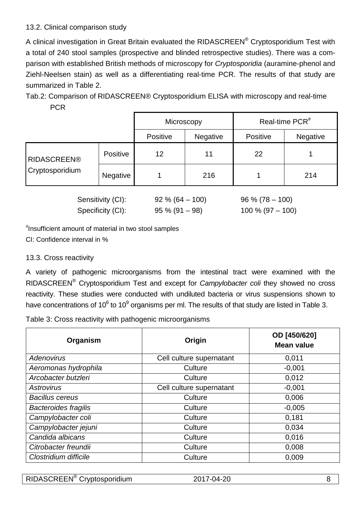#### 13.2. Clinical comparison study

A clinical investigation in Great Britain evaluated the RIDASCREEN® Cryptosporidium Test with a total of 240 stool samples (prospective and blinded retrospective studies). There was a comparison with established British methods of microscopy for *Cryptosporidia* (auramine-phenol and Ziehl-Neelsen stain) as well as a differentiating real-time PCR. The results of that study are summarized in Table 2.

Tab.2: Comparison of RIDASCREEN® Cryptosporidium ELISA with microscopy and real-time **PCR** 

|                 |          | Microscopy |                 | Real-time PCR <sup>#</sup> |                 |  |
|-----------------|----------|------------|-----------------|----------------------------|-----------------|--|
|                 |          | Positive   | <b>Negative</b> | Positive                   | <b>Negative</b> |  |
| RIDASCREEN®     | Positive | 12         | 11              | 22                         |                 |  |
| Cryptosporidium | Negative |            | 216             |                            | 214             |  |

Sensitivity (CI): 92 % (64 – 100) 96 % (78 – 100) Specificity (CI):  $95\% (91 - 98)$  100 % (97 – 100)

# Insufficient amount of material in two stool samples

CI: Confidence interval in %

# 13.3. Cross reactivity

A variety of pathogenic microorganisms from the intestinal tract were examined with the RIDASCREEN® Cryptosporidium Test and except for *Campylobacter coli* they showed no cross reactivity. These studies were conducted with undiluted bacteria or virus suspensions shown to have concentrations of 10 $^6$  to 10 $^9$  organisms per ml. The results of that study are listed in Table 3.

Table 3: Cross reactivity with pathogenic microorganisms

| Organism                    | Origin                   | OD [450/620]<br><b>Mean value</b> |  |
|-----------------------------|--------------------------|-----------------------------------|--|
| <b>Adenovirus</b>           | Cell culture supernatant | 0,011                             |  |
| Aeromonas hydrophila        | Culture                  | $-0,001$                          |  |
| Arcobacter butzleri         | Culture                  | 0,012                             |  |
| <b>Astrovirus</b>           | Cell culture supernatant | $-0,001$                          |  |
| <b>Bacillus cereus</b>      | Culture                  | 0,006                             |  |
| <b>Bacteroides fragilis</b> | Culture                  | $-0,005$                          |  |
| Campylobacter coli          | Culture                  | 0,181                             |  |
| Campylobacter jejuni        | Culture                  | 0,034                             |  |
| Candida albicans            | Culture                  | 0,016                             |  |
| Citrobacter freundii        | Culture                  | 0,008                             |  |
| Clostridium difficile       | Culture                  | 0,009                             |  |

| RIDASCREEN <sup>®</sup> Cryptosporidium | 2017-04-20 |  |
|-----------------------------------------|------------|--|
|-----------------------------------------|------------|--|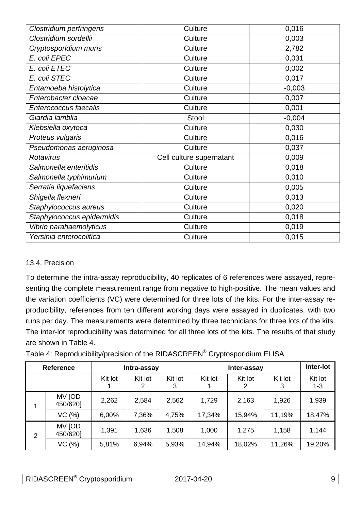| <b>Clostridium perfringens</b> | Culture                  | 0,016    |
|--------------------------------|--------------------------|----------|
| Clostridium sordellii          | Culture                  | 0,003    |
| Cryptosporidium muris          | Culture                  | 2,782    |
| E. coli EPEC                   | Culture                  | 0,031    |
| E. coli ETEC                   | Culture                  | 0,002    |
| E. coli STEC                   | Culture                  | 0,017    |
| Entamoeba histolytica          | Culture                  | $-0,003$ |
| Enterobacter cloacae           | Culture                  | 0,007    |
| Enterococcus faecalis          | Culture                  | 0,001    |
| Giardia lamblia                | Stool                    | $-0,004$ |
| Klebsiella oxytoca             | Culture                  | 0,030    |
| Proteus vulgaris               | Culture                  | 0,016    |
| Pseudomonas aeruginosa         | Culture                  | 0,037    |
| Rotavirus                      | Cell culture supernatant | 0,009    |
| Salmonella enteritidis         | Culture                  | 0,018    |
| Salmonella typhimurium         | Culture                  | 0,010    |
| Serratia liquefaciens          | Culture                  | 0,005    |
| Shigella flexneri              | Culture                  | 0,013    |
| Staphylococcus aureus          | Culture                  | 0,020    |
| Staphylococcus epidermidis     | Culture                  | 0,018    |
| Vibrio parahaemolyticus        | Culture                  | 0,019    |
| Yersinia enterocolitica        | Culture                  | 0,015    |

# 13.4. Precision

To determine the intra-assay reproducibility, 40 replicates of 6 references were assayed, representing the complete measurement range from negative to high-positive. The mean values and the variation coefficients (VC) were determined for three lots of the kits. For the inter-assay reproducibility, references from ten different working days were assayed in duplicates, with two runs per day. The measurements were determined by three technicians for three lots of the kits. The inter-lot reproducibility was determined for all three lots of the kits. The results of that study are shown in Table 4.

Table 4: Reproducibility/precision of the RIDASCREEN® Cryptosporidium ELISA

| <b>Reference</b> |                           | Intra-assay |              | Inter-assay  |         |         | Inter-lot    |                    |
|------------------|---------------------------|-------------|--------------|--------------|---------|---------|--------------|--------------------|
|                  |                           | Kit lot     | Kit lot<br>2 | Kit lot<br>3 | Kit lot | Kit lot | Kit lot<br>3 | Kit lot<br>$1 - 3$ |
|                  | <b>MV JOD</b><br>450/620] | 2,262       | 2,584        | 2,562        | 1,729   | 2,163   | 1,926        | 1,939              |
|                  | VC (%)                    | 6,00%       | 7,36%        | 4,75%        | 17,34%  | 15,94%  | 11,19%       | 18,47%             |
| 2                | <b>MV JOD</b><br>450/620] | 1,391       | 1,636        | 1,508        | 1,000   | 1,275   | 1,158        | 1,144              |
|                  | VC (%)                    | 5,81%       | 6,94%        | 5,93%        | 14,94%  | 18,02%  | 11,26%       | 19,20%             |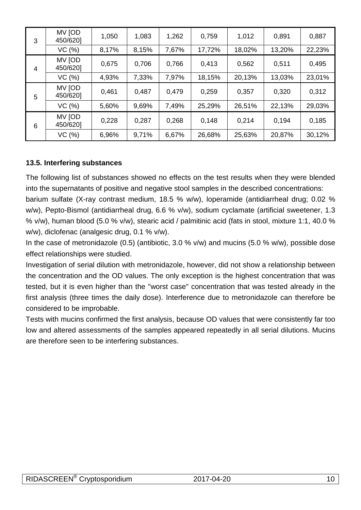| 3              | MV [OD<br>450/620] | 1,050 | 1,083 | 1,262 | 0,759  | 1,012  | 0,891  | 0,887  |
|----------------|--------------------|-------|-------|-------|--------|--------|--------|--------|
|                | VC (%)             | 8,17% | 8,15% | 7,67% | 17,72% | 18,02% | 13,20% | 22,23% |
| $\overline{4}$ | MV [OD<br>450/620] | 0,675 | 0,706 | 0,766 | 0,413  | 0,562  | 0,511  | 0,495  |
|                | VC (%)             | 4,93% | 7,33% | 7,97% | 18,15% | 20,13% | 13,03% | 23,01% |
| 5              | MV JOD<br>450/620] | 0,461 | 0,487 | 0,479 | 0,259  | 0,357  | 0,320  | 0,312  |
|                | VC (%)             | 5,60% | 9,69% | 7,49% | 25,29% | 26,51% | 22,13% | 29,03% |
| 6              | MV [OD<br>450/620] | 0,228 | 0,287 | 0,268 | 0,148  | 0,214  | 0,194  | 0,185  |
|                | VC (%)             | 6,96% | 9,71% | 6,67% | 26,68% | 25,63% | 20,87% | 30,12% |

#### **13.5. Interfering substances**

The following list of substances showed no effects on the test results when they were blended into the supernatants of positive and negative stool samples in the described concentrations:

barium sulfate (X-ray contrast medium, 18.5 % w/w), loperamide (antidiarrheal drug; 0.02 % w/w), Pepto-Bismol (antidiarrheal drug, 6.6 % v/w), sodium cyclamate (artificial sweetener, 1.3 % v/w), human blood (5.0 % v/w), stearic acid / palmitinic acid (fats in stool, mixture 1:1, 40.0 % w/w), diclofenac (analgesic drug, 0.1 % v/w).

In the case of metronidazole (0.5) (antibiotic, 3.0 % v/w) and mucins (5.0 % w/w), possible dose effect relationships were studied.

Investigation of serial dilution with metronidazole, however, did not show a relationship between the concentration and the OD values. The only exception is the highest concentration that was tested, but it is even higher than the "worst case" concentration that was tested already in the first analysis (three times the daily dose). Interference due to metronidazole can therefore be considered to be improbable.

Tests with mucins confirmed the first analysis, because OD values that were consistently far too low and altered assessments of the samples appeared repeatedly in all serial dilutions. Mucins are therefore seen to be interfering substances.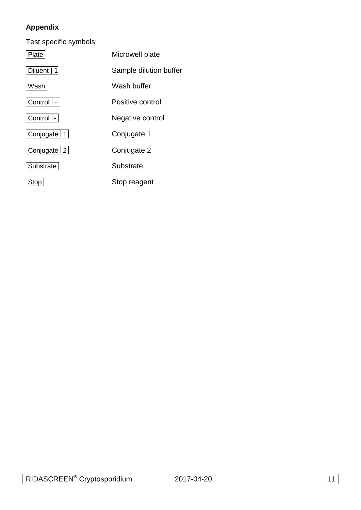# **Appendix**

Test specific symbols:

| Plate           | Microwell plate        |
|-----------------|------------------------|
| Diluent   1     | Sample dilution buffer |
| Wash            | Wash buffer            |
| $ Control  +  $ | Positive control       |
| Control   -     | Negative control       |
| Conjugate   1   | Conjugate 1            |
| Conjugate   2   | Conjugate 2            |
| Substrate       | Substrate              |
| <b>Stop</b>     | Stop reagent           |